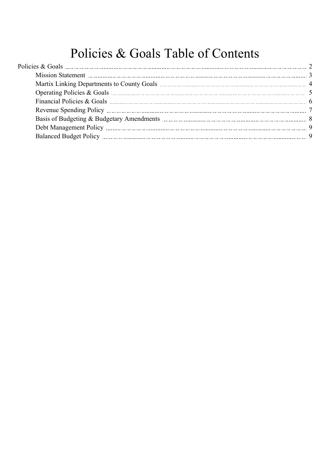# Policies & Goals Table of Contents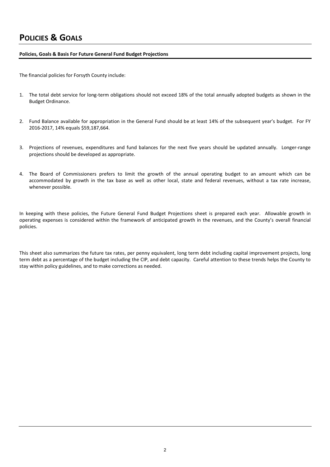### <span id="page-1-0"></span>**Policies, Goals & Basis For Future General Fund Budget Projections**

The financial policies for Forsyth County include:

- 1. The total debt service for long-term obligations should not exceed 18% of the total annually adopted budgets as shown in the Budget Ordinance.
- 2. Fund Balance available for appropriation in the General Fund should be at least 14% of the subsequent year's budget. For FY 2016-2017, 14% equals \$59,187,664.
- 3. Projections of revenues, expenditures and fund balances for the next five years should be updated annually. Longer-range projections should be developed as appropriate.
- 4. The Board of Commissioners prefers to limit the growth of the annual operating budget to an amount which can be accommodated by growth in the tax base as well as other local, state and federal revenues, without a tax rate increase, whenever possible.

In keeping with these policies, the Future General Fund Budget Projections sheet is prepared each year. Allowable growth in operating expenses is considered within the framework of anticipated growth in the revenues, and the County's overall financial policies.

This sheet also summarizes the future tax rates, per penny equivalent, long term debt including capital improvement projects, long term debt as a percentage of the budget including the CIP, and debt capacity. Careful attention to these trends helps the County to stay within policy guidelines, and to make corrections as needed.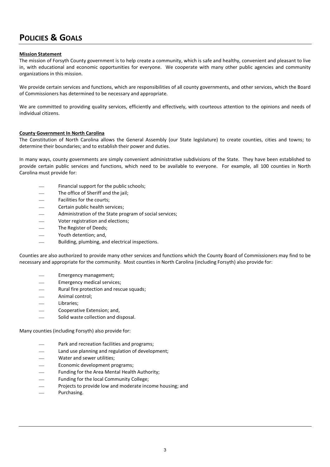### <span id="page-2-0"></span>**Mission Statement**

The mission of Forsyth County government is to help create a community, which is safe and healthy, convenient and pleasant to live in, with educational and economic opportunities for everyone. We cooperate with many other public agencies and community organizations in this mission.

We provide certain services and functions, which are responsibilities of all county governments, and other services, which the Board of Commissioners has determined to be necessary and appropriate.

We are committed to providing quality services, efficiently and effectively, with courteous attention to the opinions and needs of individual citizens.

### **County Government In North Carolina**

The Constitution of North Carolina allows the General Assembly (our State legislature) to create counties, cities and towns; to determine their boundaries; and to establish their power and duties.

In many ways, county governments are simply convenient administrative subdivisions of the State. They have been established to provide certain public services and functions, which need to be available to everyone. For example, all 100 counties in North Carolina must provide for:

- Financial support for the public schools;
- The office of Sheriff and the jail:
- Facilities for the courts:
- Certain public health services;
- Administration of the State program of social services;
- Voter registration and elections;
- The Register of Deeds;
- Youth detention; and,
- Building, plumbing, and electrical inspections.

Counties are also authorized to provide many other services and functions which the County Board of Commissioners may find to be necessary and appropriate for the community. Most counties in North Carolina (including Forsyth) also provide for:

- Emergency management;
- Emergency medical services;
- Rural fire protection and rescue squads;
- Animal control;
- Libraries;
- Cooperative Extension; and,
- Solid waste collection and disposal.

Many counties (including Forsyth) also provide for:

- Park and recreation facilities and programs;
- Land use planning and regulation of development;
- Water and sewer utilities;
- Economic development programs;
- Funding for the Area Mental Health Authority;
- Funding for the local Community College;
- Projects to provide low and moderate income housing; and
- Purchasing.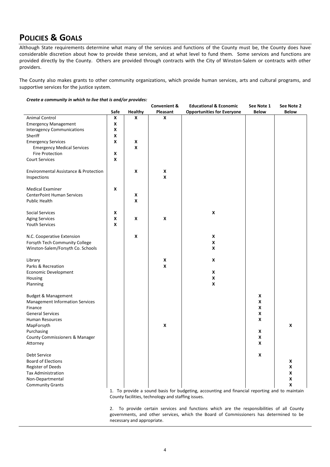<span id="page-3-0"></span>Although State requirements determine what many of the services and functions of the County must be, the County does have considerable discretion about how to provide these services, and at what level to fund them. Some services and functions are provided directly by the County. Others are provided through contracts with the City of Winston-Salem or contracts with other providers.

The County also makes grants to other community organizations, which provide human services, arts and cultural programs, and supportive services for the justice system.

| Create a community in which to live that is and/or provides: |  |  |
|--------------------------------------------------------------|--|--|
|                                                              |  |  |

|                                        |      |                  | <b>Convenient &amp;</b> | <b>Educational &amp; Economic</b> | See Note 1   | See Note 2   |
|----------------------------------------|------|------------------|-------------------------|-----------------------------------|--------------|--------------|
|                                        | Safe | Healthy          | Pleasant                | <b>Opportunities for Everyone</b> | <b>Below</b> | <b>Below</b> |
| Animal Control                         | X    | X                | X                       |                                   |              |              |
| <b>Emergency Management</b>            | X    |                  |                         |                                   |              |              |
| <b>Interagency Communications</b>      | X    |                  |                         |                                   |              |              |
| Sheriff                                | x    |                  |                         |                                   |              |              |
| <b>Emergency Services</b>              | X    | X                |                         |                                   |              |              |
| <b>Emergency Medical Services</b>      |      | $\boldsymbol{x}$ |                         |                                   |              |              |
| Fire Protection                        | X    |                  |                         |                                   |              |              |
| <b>Court Services</b>                  | X    |                  |                         |                                   |              |              |
|                                        |      |                  |                         |                                   |              |              |
| Environmental Assistance & Protection  |      | X                | X                       |                                   |              |              |
| Inspections                            |      |                  | X                       |                                   |              |              |
| <b>Medical Examiner</b>                | X    |                  |                         |                                   |              |              |
| <b>CenterPoint Human Services</b>      |      | X                |                         |                                   |              |              |
| <b>Public Health</b>                   |      | $\boldsymbol{x}$ |                         |                                   |              |              |
|                                        |      |                  |                         |                                   |              |              |
| Social Services                        | X    |                  |                         | X                                 |              |              |
| <b>Aging Services</b>                  | X    | X                | X                       |                                   |              |              |
| <b>Youth Services</b>                  | X    |                  |                         |                                   |              |              |
|                                        |      |                  |                         |                                   |              |              |
| N.C. Cooperative Extension             |      | X                |                         | X                                 |              |              |
| Forsyth Tech Community College         |      |                  |                         | X                                 |              |              |
| Winston-Salem/Forsyth Co. Schools      |      |                  |                         | X                                 |              |              |
|                                        |      |                  |                         |                                   |              |              |
| Library                                |      |                  | X                       | X                                 |              |              |
| Parks & Recreation                     |      |                  | X                       |                                   |              |              |
| Economic Development                   |      |                  |                         | X                                 |              |              |
| Housing                                |      |                  |                         | X                                 |              |              |
| Planning                               |      |                  |                         | X                                 |              |              |
|                                        |      |                  |                         |                                   |              |              |
| Budget & Management                    |      |                  |                         |                                   | X            |              |
| <b>Management Information Services</b> |      |                  |                         |                                   | X            |              |
| Finance                                |      |                  |                         |                                   | X            |              |
| <b>General Services</b>                |      |                  |                         |                                   | X            |              |
| <b>Human Resources</b>                 |      |                  |                         |                                   | X            |              |
| MapForsyth                             |      |                  | X                       |                                   |              | X            |
| Purchasing                             |      |                  |                         |                                   | X            |              |
| County Commissioners & Manager         |      |                  |                         |                                   | X            |              |
| Attorney                               |      |                  |                         |                                   | X            |              |
| <b>Debt Service</b>                    |      |                  |                         |                                   | X            |              |
| <b>Board of Elections</b>              |      |                  |                         |                                   |              | X            |
| Register of Deeds                      |      |                  |                         |                                   |              | X            |
| <b>Tax Administration</b>              |      |                  |                         |                                   |              | X            |
| Non-Departmental                       |      |                  |                         |                                   |              | X            |
| <b>Community Grants</b>                |      |                  |                         |                                   |              | X            |

1. To provide a sound basis for budgeting, accounting and financial reporting and to maintain County facilities, technology and staffing issues.

2. To provide certain services and functions which are the responsibilities of all County governments, and other services, which the Board of Commissioners has determined to be necessary and appropriate.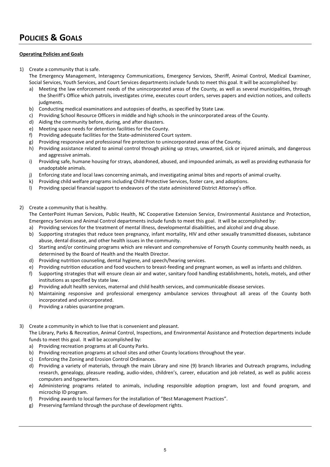### <span id="page-4-0"></span>**Operating Policies and Goals**

- 1) Create a community that is safe. The Emergency Management, Interagency Communications, Emergency Services, Sheriff, Animal Control, Medical Examiner, Social Services, Youth Services, and Court Services departments include funds to meet this goal. It will be accomplished by:
	- a) Meeting the law enforcement needs of the unincorporated areas of the County, as well as several municipalities, through the Sheriff's Office which patrols, investigates crime, executes court orders, serves papers and eviction notices, and collects judgments.
	- b) Conducting medical examinations and autopsies of deaths, as specified by State Law.
	- c) Providing School Resource Officers in middle and high schools in the unincorporated areas of the County.
	- d) Aiding the community before, during, and after disasters.
	- e) Meeting space needs for detention facilities for the County.
	- f) Providing adequate facilities for the State-administered Court system.
	- g) Providing responsive and professional fire protection to unincorporated areas of the County.
	- h) Providing assistance related to animal control through picking up strays, unwanted, sick or injured animals, and dangerous and aggressive animals.
	- i) Providing safe, humane housing for strays, abandoned, abused, and impounded animals, as well as providing euthanasia for unadoptable animals.
	- j) Enforcing state and local laws concerning animals, and investigating animal bites and reports of animal cruelty.
	- k) Providing child welfare programs including Child Protective Services, foster care, and adoptions.
	- l) Providing special financial support to endeavors of the state administered District Attorney's office.
- 2) Create a community that is healthy.

The CenterPoint Human Services, Public Health, NC Cooperative Extension Service, Environmental Assistance and Protection, Emergency Services and Animal Control departments include funds to meet this goal. It will be accomplished by:

- a) Providing services for the treatment of mental illness, developmental disabilities, and alcohol and drug abuse.
- b) Supporting strategies that reduce teen pregnancy, infant mortality, HIV and other sexually transmitted diseases, substance abuse, dental disease, and other health issues in the community.
- c) Starting and/or continuing programs which are relevant and comprehensive of Forsyth County community health needs, as determined by the Board of Health and the Health Director.
- d) Providing nutrition counseling, dental hygiene, and speech/hearing services.
- e) Providing nutrition education and food vouchers to breast-feeding and pregnant women, as well as infants and children.
- f) Supporting strategies that will ensure clean air and water, sanitary food handling establishments, hotels, motels, and other institutions as specified by state law.
- g) Providing adult health services, maternal and child health services, and communicable disease services.
- h) Maintaining responsive and professional emergency ambulance services throughout all areas of the County both incorporated and unincorporated.
- i) Providing a rabies quarantine program.
- 3) Create a community in which to live that is convenient and pleasant.

The Library, Parks & Recreation, Animal Control, Inspections, and Environmental Assistance and Protection departments include funds to meet this goal. It will be accomplished by:

- a) Providing recreation programs at all County Parks.
- b) Providing recreation programs at school sites and other County locations throughout the year.
- c) Enforcing the Zoning and Erosion Control Ordinances.
- d) Providing a variety of materials, through the main Library and nine (9) branch libraries and Outreach programs, including research, genealogy, pleasure reading, audio-video, children's, career, education and job related, as well as public access computers and typewriters.
- e) Administering programs related to animals, including responsible adoption program, lost and found program, and microchip ID program.
- f) Providing awards to local farmers for the installation of "Best Management Practices".
- g) Preserving farmland through the purchase of development rights.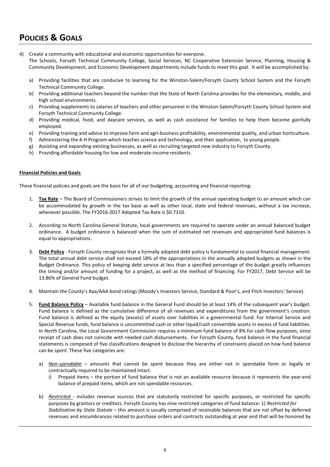<span id="page-5-0"></span>4) Create a community with educational and economic opportunities for everyone.

The Schools, Forsyth Technical Community College, Social Services, NC Cooperative Extension Service, Planning, Housing & Community Development, and Economic Development departments include funds to meet this goal. It will be accomplished by:

- a) Providing facilities that are conducive to learning for the Winston-Salem/Forsyth County School System and the Forsyth Technical Community College.
- b) Providing additional teachers beyond the number that the State of North Carolina provides for the elementary, middle, and high school environments.
- c) Providing supplements to salaries of teachers and other personnel in the Winston-Salem/Forsyth County School System and Forsyth Technical Community College.
- d) Providing medical, food, and daycare services, as well as cash assistance for families to help them become gainfully employed.
- e) Providing training and advice to improve farm and agri-business profitability, environmental quality, and urban horticulture.
- f) Administering the 4-H Program which teaches science and technology, and their application, to young people.
- g) Assisting and expanding existing businesses, as well as recruiting targeted new industry to Forsyth County.
- h) Providing affordable housing for low and moderate-income residents.

### **Financial Policies and Goals**

These financial policies and goals are the basis for all of our budgeting, accounting and financial reporting:

- 1. **Tax Rate** The Board of Commissioners strives to limit the growth of the annual operating budget to an amount which can be accommodated by growth in the tax base as well as other local, state and federal revenues, without a tax increase, whenever possible. The FY2016-2017 Adopted Tax Rate is \$0.7310.
- 2. According to North Carolina General Statute, local governments are required to operate under an annual balanced budget ordinance. A budget ordinance is balanced when the sum of estimated net revenues and appropriated fund balances is equal to appropriations.
- 3. **Debt Policy** Forsyth County recognizes that a formally adopted debt policy is fundamental to sound financial management. The total annual debt service shall not exceed 18% of the appropriations in the annually adopted budgets as shown in the Budget Ordinance. This policy of keeping debt service at less than a specified percentage of the budget greatly influences the timing and/or amount of funding for a project, as well as the method of financing. For FY2017, Debt Service will be 13.86% of General Fund budget.
- 4. Maintain the County's Aaa/AAA bond ratings (Moody's Investors Service, Standard & Poor's, and Fitch Investors' Service).
- 5. **Fund Balance Policy** Available fund balance in the General Fund should be at least 14% of the subsequent year's budget. Fund balance is defined as the cumulative difference of all revenues and expenditures from the government's creation. Fund balance is defined as the equity (excess) of assets over liabilities in a governmental fund. For Internal Service and Special Revenue funds, fund balance is uncommitted cash or other liquid/cash convertible assets in excess of fund liabilities. In North Carolina, the Local Government Commission requires a minimum fund balance of 8% for cash flow purposes, since receipt of cash does not coincide with needed cash disbursements. For Forsyth County, fund balance in the fund financial statements is composed of five classifications designed to disclose the hierarchy of constraints placed on how fund balance can be spent. These five categories are:
	- a) *Non-spendable* amounts that cannot be spent because they are either not in spendable form or legally or contractually required to be maintained intact.
		- i) Prepaid items the portion of fund balance that is not an available resource because it represents the year-end balance of prepaid items, which are not spendable resources.
	- b) *Restricted* includes revenue sources that are statutorily restricted for specific purposes, or restricted for specific purposes by grantors or creditors. Forsyth County has nine restricted categories of fund balance: 1) *Restricted for Stabilization by State Statute* – this amount is usually comprised of receivable balances that are not offset by deferred revenues and encumbrances related to purchase orders and contracts outstanding at year end that will be honored by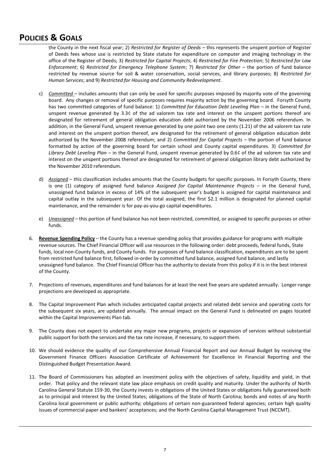<span id="page-6-0"></span>the County in the next fiscal year; 2) *Restricted for Register of Deeds* – this represents the unspent portion of Register of Deeds fees whose use is restricted by State statute for expenditure on computer and imaging technology in the office of the Register of Deeds; 3) *Restricted for Capital Projects*; 4) *Restricted for Fire Protection*; 5) *Restricted for Law Enforcement*; 6) *Restricted for Emergency Telephone System*; 7) *Restricted for Other* – the portion of fund balance restricted by revenue source for soil & water conservation, social services, and library purposes; 8) *Restricted for Human Services*; and 9) *Restricted for Housing and Community Redevelopment*.

- c) *Committed* includes amounts that can only be used for specific purposes imposed by majority vote of the governing board. Any changes or removal of specific purposes requires majority action by the governing board. Forsyth County has two committed categories of fund balance: 1) *Committed for Education Debt Leveling Plan* – in the General Fund, unspent revenue generated by 3.3¢ of the ad valorem tax rate and interest on the unspent portions thereof are designated for retirement of general obligation education debt authorized by the November 2006 referendum. In addition, in the General Fund, unspent revenue generated by one point two one cents (1.21) of the ad valorem tax rate and interest on the unspent portion thereof, are designated for the retirement of general obligation education debt authorized by the November 2008 referendum; and 2) *Committed for Capital Projects* – the portion of fund balance formatted by action of the governing board for certain school and County capital expenditures. 3) *Committed for Library Debt Leveling Plan* – in the General Fund, unspent revenue generated by 0.6¢ of the ad valorem tax rate and interest on the unspent portions thereof are designated for retirement of general obligation library debt authorized by the November 2010 referendum.
- d) *Assigned* this classification includes amounts that the County budgets for specific purposes. In Forsyth County, there is one (1) category of assigned fund balance *Assigned for Capital Maintenance Projects* – in the General Fund, unassigned fund balance in excess of 14% of the subsequent year's budget is assigned for capital maintenance and capital outlay in the subsequent year. Of the total assigned, the first \$2.1 million is designated for planned capital maintenance, and the remainder is for pay-as-you-go capital expenditures.
- e) *Unassigned* this portion of fund balance has not been restricted, committed, or assigned to specific purposes or other funds.
- 6. **Revenue Spending Policy** the County has a revenue spending policy that provides guidance for programs with multiple revenue sources. The Chief Financial Officer will use resources in the following order: debt proceeds, federal funds, State funds, local non-County funds, and County funds. For purposes of fund balance classification, expenditures are to be spent from restricted fund balance first, followed in-order by committed fund balance, assigned fund balance, and lastly unassigned fund balance. The Chief Financial Officer has the authority to deviate from this policy if it is in the best interest of the County.
- 7. Projections of revenues, expenditures and fund balances for at least the next five years are updated annually. Longer-range projections are developed as appropriate.
- 8. The Capital Improvement Plan which includes anticipated capital projects and related debt service and operating costs for the subsequent six years, are updated annually. The annual impact on the General Fund is delineated on pages located within the Capital Improvements Plan tab.
- 9. The County does not expect to undertake any major new programs, projects or expansion of services without substantial public support for both the services and the tax rate increase, if necessary, to support them.
- 10. We should evidence the quality of our Comprehensive Annual Financial Report and our Annual Budget by receiving the Government Finance Officers Association Certificate of Achievement for Excellence In Financial Reporting and the Distinguished Budget Presentation Award.
- 11. The Board of Commissioners has adopted an investment policy with the objectives of safety, liquidity and yield, in that order. That policy and the relevant state law place emphasis on credit quality and maturity. Under the authority of North Carolina General Statute 159-30, the County invests in obligations of the United States or obligations fully guaranteed both as to principal and interest by the United States; obligations of the State of North Carolina; bonds and notes of any North Carolina local government or public authority; obligations of certain non-guaranteed federal agencies; certain high quality issues of commercial paper and bankers' acceptances; and the North Carolina Capital Management Trust (NCCMT).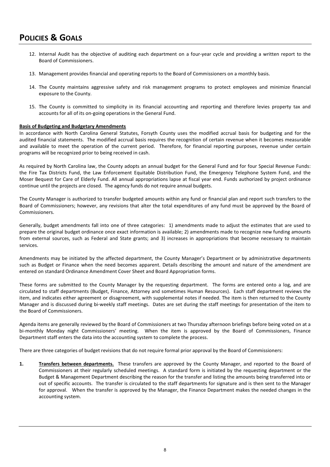- <span id="page-7-0"></span>12. Internal Audit has the objective of auditing each department on a four-year cycle and providing a written report to the Board of Commissioners.
- 13. Management provides financial and operating reports to the Board of Commissioners on a monthly basis.
- 14. The County maintains aggressive safety and risk management programs to protect employees and minimize financial exposure to the County.
- 15. The County is committed to simplicity in its financial accounting and reporting and therefore levies property tax and accounts for all of its on-going operations in the General Fund.

### **Basis of Budgeting and Budgetary Amendments**

In accordance with North Carolina General Statutes, Forsyth County uses the modified accrual basis for budgeting and for the audited financial statements. The modified accrual basis requires the recognition of certain revenue when it becomes measurable and available to meet the operation of the current period. Therefore, for financial reporting purposes, revenue under certain programs will be recognized prior to being received in cash.

As required by North Carolina law, the County adopts an annual budget for the General Fund and for four Special Revenue Funds: the Fire Tax Districts Fund, the Law Enforcement Equitable Distribution Fund, the Emergency Telephone System Fund, and the Moser Bequest for Care of Elderly Fund. All annual appropriations lapse at fiscal year end. Funds authorized by project ordinance continue until the projects are closed. The agency funds do not require annual budgets.

The County Manager is authorized to transfer budgeted amounts within any fund or financial plan and report such transfers to the Board of Commissioners; however, any revisions that alter the total expenditures of any fund must be approved by the Board of Commissioners.

Generally, budget amendments fall into one of three categories: 1) amendments made to adjust the estimates that are used to prepare the original budget ordinance once exact information is available; 2) amendments made to recognize new funding amounts from external sources, such as Federal and State grants; and 3) increases in appropriations that become necessary to maintain services.

Amendments may be initiated by the affected department, the County Manager's Department or by administrative departments such as Budget or Finance when the need becomes apparent. Details describing the amount and nature of the amendment are entered on standard Ordinance Amendment Cover Sheet and Board Appropriation forms.

These forms are submitted to the County Manager by the requesting department. The forms are entered onto a log, and are circulated to staff departments (Budget, Finance, Attorney and sometimes Human Resources). Each staff department reviews the item, and indicates either agreement or disagreement, with supplemental notes if needed. The item is then returned to the County Manager and is discussed during bi-weekly staff meetings. Dates are set during the staff meetings for presentation of the item to the Board of Commissioners.

Agenda items are generally reviewed by the Board of Commissioners at two Thursday afternoon briefings before being voted on at a bi-monthly Monday night Commissioners' meeting. When the item is approved by the Board of Commissioners, Finance Department staff enters the data into the accounting system to complete the process.

There are three categories of budget revisions that do not require formal prior approval by the Board of Commissioners:

**1. Transfers between departments.** These transfers are approved by the County Manager, and reported to the Board of Commissioners at their regularly scheduled meetings. A standard form is initiated by the requesting department or the Budget & Management Department describing the reason for the transfer and listing the amounts being transferred into or out of specific accounts. The transfer is circulated to the staff departments for signature and is then sent to the Manager for approval. When the transfer is approved by the Manager, the Finance Department makes the needed changes in the accounting system.